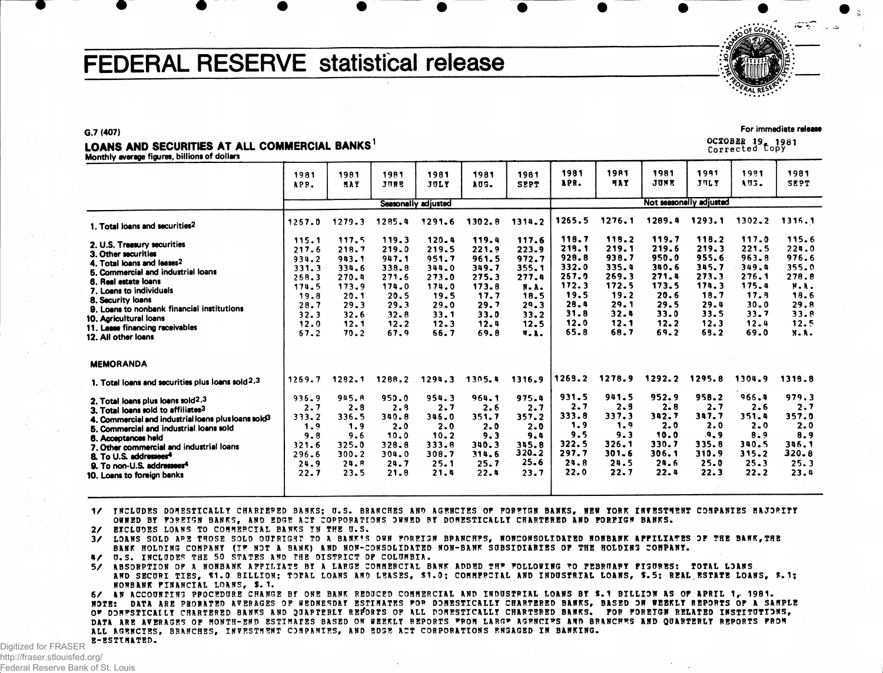# FEDERAL RESERVE statistical release

#### **G.7 (407)**

### LOANS AND SECURITIES AT ALL COMMERCIAL BANKS<sup>1</sup>

Monthly average figures, billions of dollars

| 1981<br>APR.                                                                               | 1981<br>MAY                                                                                | 1981<br>JUNE                                                                               | 1981<br>JULY                                                                               | 1981<br>AUG.                                                                               | 1981<br><b>SPPT</b>                                                                       | 1981<br>APR.                                                                      | <b>1981</b><br>4 A Y                                                              | 1981<br>JUNE                                                                      | 1991<br>JULY                                                                      | 1981<br>AU3.                                                                      | 1981<br>SEPT                                                                              |  |  |
|--------------------------------------------------------------------------------------------|--------------------------------------------------------------------------------------------|--------------------------------------------------------------------------------------------|--------------------------------------------------------------------------------------------|--------------------------------------------------------------------------------------------|-------------------------------------------------------------------------------------------|-----------------------------------------------------------------------------------|-----------------------------------------------------------------------------------|-----------------------------------------------------------------------------------|-----------------------------------------------------------------------------------|-----------------------------------------------------------------------------------|-------------------------------------------------------------------------------------------|--|--|
| Seasonally adjusted                                                                        |                                                                                            |                                                                                            |                                                                                            |                                                                                            |                                                                                           |                                                                                   | Not seasonally adjusted                                                           |                                                                                   |                                                                                   |                                                                                   |                                                                                           |  |  |
| 1257.0                                                                                     | 1279.3                                                                                     | 1285.4                                                                                     | 1291.6                                                                                     | 1302.8                                                                                     | 1314.2                                                                                    | 1265.5                                                                            | 1276.1                                                                            | 1289.4                                                                            | 1293.1                                                                            | $1302 - 2$                                                                        | 1316.1                                                                                    |  |  |
| 115.1<br>217.6<br>934.2<br>331.3<br>268.3<br>174.5<br>19.8<br>28.7<br>32.3<br>12.0<br>67.2 | 117.5<br>218.7<br>943.1<br>334.6<br>270.4<br>173.9<br>20.1<br>29.3<br>32.6<br>12.1<br>70.2 | 119.3<br>219.0<br>947.1<br>338.8<br>271.6<br>174.0<br>20.5<br>29.3<br>32.8<br>12.2<br>67.9 | 120.4<br>219.5<br>951.7<br>344.0<br>273.0<br>174.0<br>19.5<br>29.0<br>33.1<br>12.3<br>66.7 | 119.4<br>221.9<br>961.5<br>349.7<br>275.3<br>173.8<br>17.7<br>29.7<br>33.0<br>12.4<br>69.8 | 117.6<br>223.9<br>972.7<br>355.1<br>277.4<br>N.A.<br>18.5<br>29.3<br>33.2<br>12.5<br>W.A. | 219.1<br>928.8<br>332.0<br>257.9<br>172.3<br>19.5<br>28.4<br>31.8<br>12.0<br>65.8 | 219.1<br>938.7<br>335.4<br>269.3<br>172.5<br>19.2<br>29.1<br>32.4<br>12.1<br>68.7 | 219.6<br>950.0<br>340.6<br>271.4<br>173.5<br>20.6<br>29.5<br>33.0<br>12.2<br>69.2 | 219.3<br>955.6<br>345.7<br>273.3<br>174.3<br>18.7<br>29.4<br>33.5<br>12.3<br>69.2 | 221.5<br>963.8<br>349.4<br>276.1<br>175.4<br>17.8<br>30.0<br>33.7<br>12.4<br>69.0 | 115.6<br>224.0<br>976.6<br>355.0<br>278.8<br>N.A.<br>18.6<br>29.8<br>33.8<br>12.5<br>N.A. |  |  |
|                                                                                            |                                                                                            |                                                                                            |                                                                                            |                                                                                            |                                                                                           |                                                                                   |                                                                                   |                                                                                   |                                                                                   |                                                                                   |                                                                                           |  |  |
| 1269.7                                                                                     | 1282.1                                                                                     | 1288.2                                                                                     | 1294.3                                                                                     | 1305.4                                                                                     | 1316.9                                                                                    |                                                                                   |                                                                                   |                                                                                   |                                                                                   |                                                                                   | 1318.8                                                                                    |  |  |
| 936.9<br>2.7<br>333.2<br>1.9<br>9.8<br>321.6<br>296.6<br>24.9<br>22.7                      | 945.R<br>$2 - 8$<br>336.5<br>1.9<br>9.6<br>325.0<br>300.2<br>24.8<br>23.5                  | 950.0<br>2.8<br>340.8<br>2.0<br>10.0<br>328.8<br>304.0<br>24.7<br>21.8                     | 954.3<br>2.7<br>346.0<br>2.0<br>$10 - 2$<br>333.8<br>308.7<br>25.1<br>21.4                 | 964.1<br>2.6<br>351.7<br>2.0<br>9.3<br>340.3<br>314.6<br>25.7<br>22.4                      | 975.4<br>2.7<br>357.2<br>2.0<br>9.4<br>345.8<br>$320 - 2$<br>25.6<br>23.7                 | 931.5<br>2.7<br>333.8<br>1.9<br>9.5<br>322.5<br>297.7<br>24.8<br>22.0             | 941.5<br>2.9<br>337.3<br>1.9<br>9.3<br>326.1<br>$301 - 6$<br>24.5<br>22.7         | 952.9<br>$2 - 8$<br>342.7<br>2.0<br>10.0<br>330.7<br>306.1<br>24.6<br>22.4        | 958.2<br>2.7<br>347.7<br>2.0<br>.9.9<br>335.8<br>310.9<br>25.0<br>22.3            | 966.4<br>2.6<br>351.4<br>$2 - 0$<br>8.9<br>340.5<br>315.2<br>25.3<br>22.2         | 979.3<br>2.7<br>357.0<br>2.0<br>8.9<br>346.1<br>320.8<br>25.3<br>23.4                     |  |  |
|                                                                                            |                                                                                            |                                                                                            |                                                                                            |                                                                                            |                                                                                           |                                                                                   | 118.7<br>1269.2                                                                   | 113.2<br>1278.9                                                                   | 119.7<br>1292.2                                                                   | 118.2<br>1295.8                                                                   | 117.0<br>1304.9                                                                           |  |  |

1/ INCLUDES DOMESTICALLY CHARIERED BANKS: U.S. BRANCHES AND AGENCIES OF FOREIGN BANKS, NEW YORK INVESTMENT COMPANIES MAJORITY **OWNED BY FOREIGN BANKS, AND EDGE ACT CORPORATIONS OWNED BY DOMESTICALLY CHARTERED AND FOREIGN BANKS.**

**2/ EXCLUDES LOANS TO COMMERCIAL BANKS IN THE U.S.**

3/ LOANS SOLD ARE THOSE SOLD OUTRIGHT TO A BANK'S OWN FOREIGN BRANCHFS, NONCONSOLIDATED NONBANK AFFILIATES OF THE BANK, THE **BANK HOLDING COMPANY (IF NOT A BANK) AND NON-CONSOLIDATED NON-BANK SUBSIDIARIES OF THE HOLDING COMPANY. 4/ U.S. INCLUDES THE 50 STATES AND THE DISTRICT OF COLUMBIA.**

5/ ABSORPTION OF A NONBANK APPILIATE BY A LARGE COMMERCIAL BANK ADDED THE FOLLOWING TO FEBRUARY FIGURES: TOTAL LOANS AND SECURI TIES, \$1.0 BILLION; TOTAL LOANS AND LEASES, \$1.0; COMMERCIAL AND INDUSTRIAL LOANS, \$.5; REAL ESTATE LOANS, \$.1; **NONBANK FINANCIAL LOANS, \$.1.**

6/ AN ACCOUNTING PROCEDURE CHANGE BY ONE BANK REDUCED COMMERCIAL AND INDUSTRIAL LOANS BY \$.1 BILLION AS OF APRIL 1, 1981. NOTE: DATA ARE PRONATED AVERAGES OF WEDNESDAY ESTIMATES FOR DOMESTICALLY CHARTERED BANKS, BASED ON WEEKLY REPORTS OF A SAMPLE OF DONESTICALLY CHARTERED BANKS AND QUARTERLY REFORTS OF ALL DONESTICALLY CHARTERED BANKS. FOR FOREIGN RELATED INSTITUTIONS, DATA ARE AVERAGES OF MONTH-END ESTIMATES BASED ON WEEKLY REPORTS FROM LARGE AGENCIES AND BRANCHES AND QUARTERLY REPORTS FROM **ALL AGENCIES, BRANCHES, INVESTMENT COMPANIES, AND EDGE ACT CORPORATIONS ENGAGED IN BANKING. E-ESTTMATED.** 

Digitized for FRASER http://fraser.stlouisfed.org/ Federal Reserve Bank of St. Louis



For immediate release

OCIOBBfi 19. 1981 Correcte d **Copy**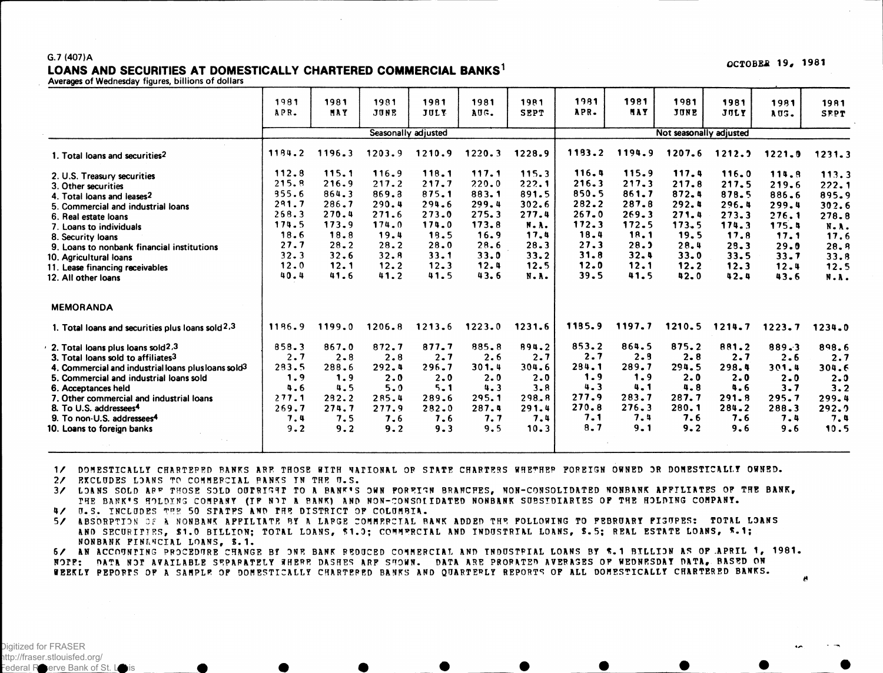#### G.7 (407)A LOANS AND SECURITIES AT DOMESTICALLY CHARTERED COMMERCIAL BANKS<sup>1</sup>

Averages of Wednesday figures, billions of dollars

|                                                                                               | 1981   | 1981    | 1981                | 1981     | 1981   | <b>1981</b>             | 1981   | 1981   | 1981   | 1981        | 1981      | 1981        |
|-----------------------------------------------------------------------------------------------|--------|---------|---------------------|----------|--------|-------------------------|--------|--------|--------|-------------|-----------|-------------|
|                                                                                               | APR.   | HAY     | JUNE                | JULY     | AUG.   | <b>SEPT</b>             | APR.   | MAY    | JUNE   | <b>JULY</b> | AUS.      | <b>SFPT</b> |
|                                                                                               |        |         | Seasonally adjusted |          |        | Not seasonally adjusted |        |        |        |             |           |             |
| 1. Total loans and securities <sup>2</sup>                                                    | 1184.2 | 1196.3  | 1203.9              | 1210.9   | 1220.3 | 1228.9                  | 1133.2 | 1194.9 | 1207.6 | 1212.2      | 1221.9    | 1231.3      |
| 2. U.S. Treasury securities                                                                   | 112.8  | 115.1   | 116.9               | 118.1    | 117.1  | 115.3                   | 116.4  | 115.9  | 117.4  | 116.0       | 114.8     | 113.3       |
| 3. Other securities                                                                           | 215.8  | 216.9   | 217.2               | 217.7    | 220.0  | 222.1                   | 216.3  | 217.3  | 217.8  | 217.5       | 219.6     | 222.1       |
| 4. Total loans and leases2                                                                    | 355.6  | 864.3   | 869.3               | 875.1    | 883.1  | 891.5                   | 850.5  | 861.7  | 872.4  | 878.5       | 886.6     | 895.9       |
| 5. Commercial and industrial loans                                                            | 291.7  | 286.7   | 290.4               | 294.6    | 299.4  | 302.6                   | 282.2  | 287.8  | 292.4  | 296.4       | 299.4     | 302.6       |
| 6. Real estate loans                                                                          | 268.3  | 270.4   | 271.6               | 273.0    | 275.3  | 277.4                   | 267.0  | 269.3  | 271.4  | 273.3       | 276.1     | 278.8       |
| 7. Loans to individuals                                                                       | 174.5  | 173.9   | 174.0               | 174.0    | 173.8  | N.A.                    | 172.3  | 172.5  | 173.5  | 174.3       | 175.4     | N.A.        |
| 8. Security loans                                                                             | 18.6   | 18.8    | 19.4                | 18.5     | 16.9   | 17.4                    | 18.4   | 18.1   | 19.5   | 17.8        | 17.1      | 17.6        |
| 9. Loans to nonbank financial institutions                                                    | 27.7   | 28.2    | 28.2                | 28.0     | 28.6   | 28.3                    | 27.3   | 28.2   | 28.4   | 29.3        | 29.0      | 28.8        |
| 10. Agricultural loans                                                                        | 32.3   | 32.6    | 32.8                | 33.1     | 33.0   | 33.2                    | 31.8   | 32.4   | 33.0   | 33.5        | 33.7      | 33.8        |
| 11. Lease financing receivables                                                               | 12.0   | 12.1    | 12.2                | $12 - 3$ | 12.4   | 12.5                    | 12.0   | 12.1   | 12.2   | 12.3        | 12.4      | 12.5        |
| 12. All other loans                                                                           | 40.4   | 41.6    | 41.2                | 41.5     | 43.6   | N.A.                    | 39.5   | 41.5   | 42.0   | 42.4        | 43.6      | N.A.        |
| <b>MEMORANDA</b><br>1. Total loans and securities plus loans sold <sup>2</sup> , <sup>3</sup> | 1196.9 | 1199.0  | 1206.8              | 1213.6   | 1223.0 | 1231.6                  | 1195.9 | 1197.7 | 1210.5 | 1214.7      | 1223.7    | 1234.0      |
| 2. Total loans plus loans sold2,3                                                             | 858.3  | 867.0   | 872.7               | 877.7    | 885.8  | 894.2                   | 853.2  | 864.5  | 875.2  | 881.2       | $889 - 3$ | 898.6       |
| 3. Total loans sold to affiliates <sup>3</sup>                                                | 2.7    | $2 - 8$ | 2.8                 | 2.7      | 2.6    | 2.7                     | 2.7    | 2.9    | 2.8    | 2.7         | 2.6       | 2.7         |
| 4. Commercial and industrial loans plus loans sold <sup>3</sup>                               | 283.5  | 288.6   | 292.4               | 296.7    | 301.4  | 304.6                   | 294.1  | 289.7  | 294.5  | 298.4       | 301.4     | 304.6       |
| 5. Commercial and industrial loans sold                                                       | 1.9    | 1.9     | 2.0                 | 2.0      | 2.0    | 2.0                     | 1.9    | 1.9    | 2.0    | 2.0         | $2 - 0$   | 2.0         |
| 6. Acceptances held                                                                           | 4.6    | 4.5     | 5.0                 | $5 - 1$  | 4.3    | 3.8                     | 4.3    | 4.1    | 4.8    | 4.6         | 3.7       | 3.2         |
| 7. Other commercial and industrial loans                                                      | 277.1  | 292.2   | 285.4               | 289.6    | 295.1  | 298.8                   | 277.9  | 283.7  | 287.7  | 291.8       | 295.7     | 299.4       |
| 8. To U.S. addressees <sup>4</sup>                                                            | 269.7  | 274.7   | 277.9               | 282.0    | 287.4  | 291.4                   | 270.8  | 276.3  | 280.1  | 284.2       | 288.3     | 292.9       |
| 9. To non-U.S. addressees <sup>4</sup>                                                        | 7.4    | 7.5     | 7.6                 | 7.6      | 7.7    | 7.4                     | 7.1    | 7.4    | 7.6    | 7.6         | 7.4       | 7.4         |
| 10. Loans to foreign banks                                                                    | 9.2    | 9.2     | 9.2                 | 9.3      | 9.5    | 10.3                    | 8.7    | 9.1    | 9.2    | 9.6         | 9.6       | 10.5        |

1/ DOMESTICALLY CHARTERED BANKS ARE THOSE WITH VALIONAL OR STATE CHARTERS WHETHER POREIGN OWNED OR DOMESTICALLY OWNED.

**2/ EXCLUDES LDANS TP COMMERCIAL RANKS IN THE U.S.**

3/ LOANS SOLD ARF THOSE SOLD OUTRIGHT TO A BANK'S OWN POREIGN BRANCHES, NON-CONSOLIDATED NONBANK APPILIATES OF THE BANK, **THE BANK'S HOLDING COMPANY (TP NIT A BANK) AND NON-CONSOLIDATED NONBANK SUBSIDIARIES OF THE HOLDING COMPANY.**

**4/ 0.S. INCLUDES THE 50 STATES AND THE DISTRICT OF COLUMBIA.**

5/ ABSORPTION OF A NONBANK APPILIATE BY A LARGE COMMERCIAL BANK ADDED THE POLLOWING TO PEBRUARY PIGURES: TOTAL LOANS **AND SECURITIES, \$1.0 BILLION; TOTAL LOANS, 51.D; COMMERCIAL AND INDUSTRIAL LOANS, \$.5; REAL ESTATE LOANS, \*.1; NONBANK FINANCIAL LOANS, \$. 1.**

6/ AN ACCOUNTING PROCEDURE CHANGE BY ONE BANK REDUCED COMMERCIAL AND INDUSTRIAL LOANS BY \$.1 BILLION AS OF APRIL 1, 1981. NOPE: DATA NOT AVAILABLE SEPARATELY HHERE DASHES ARE SHOWN. DATA ARE PROPATED AVERAGES OF WEDNESDAY DATA, BASED ON WEEKLY PEPORTS OF A SAMPLE OF DOMESTICALLY CHARTERED BANKS AND QUARTERLY REPORTS OF ALL DOMESTICALLY CHARTERED BANKS. A

OCTOBER 19, 1981